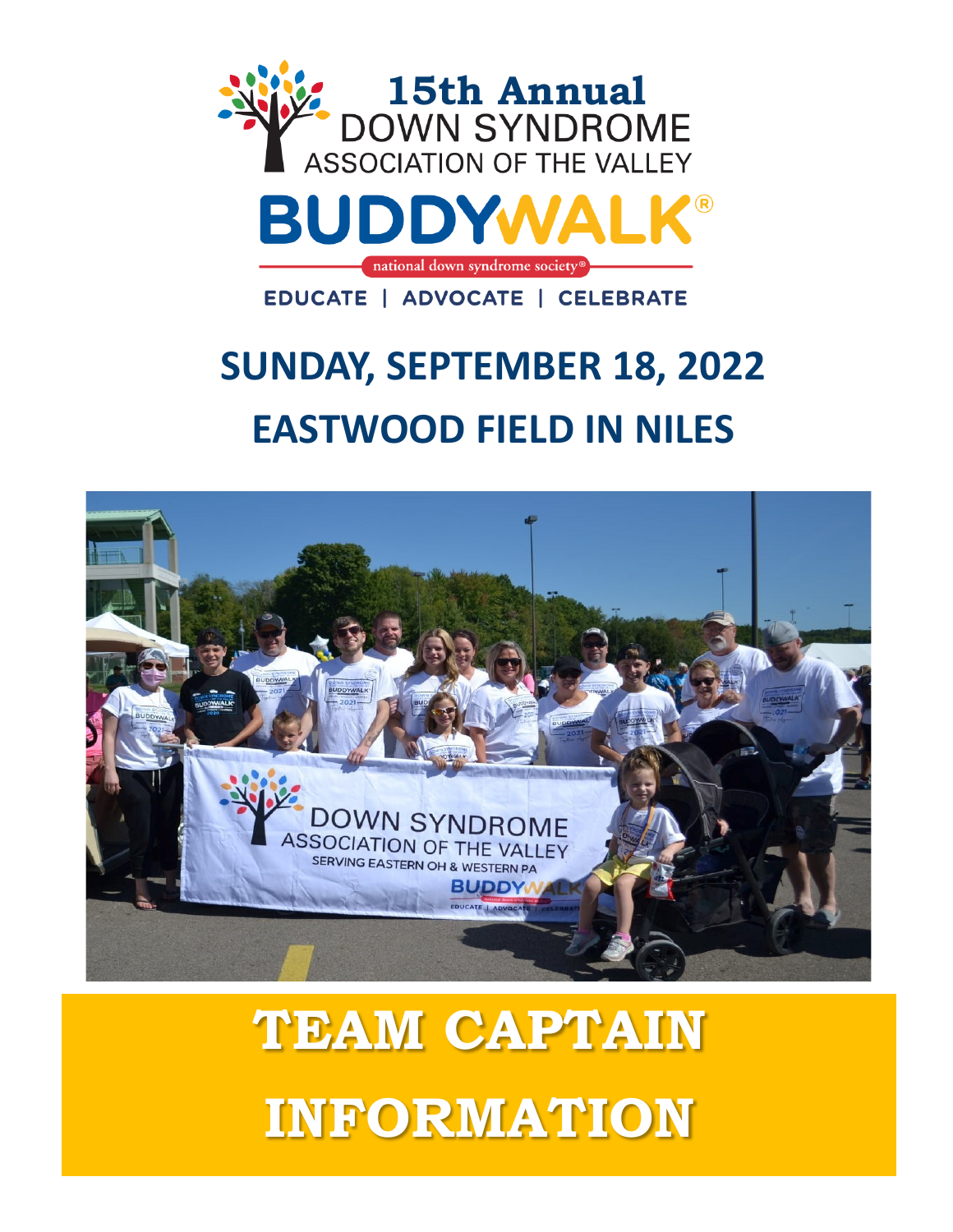

# **SUNDAY, SEPTEMBER 18, 2022 EASTWOOD FIELD IN NILES**



# **TEAM CAPTAIN INFORMATION**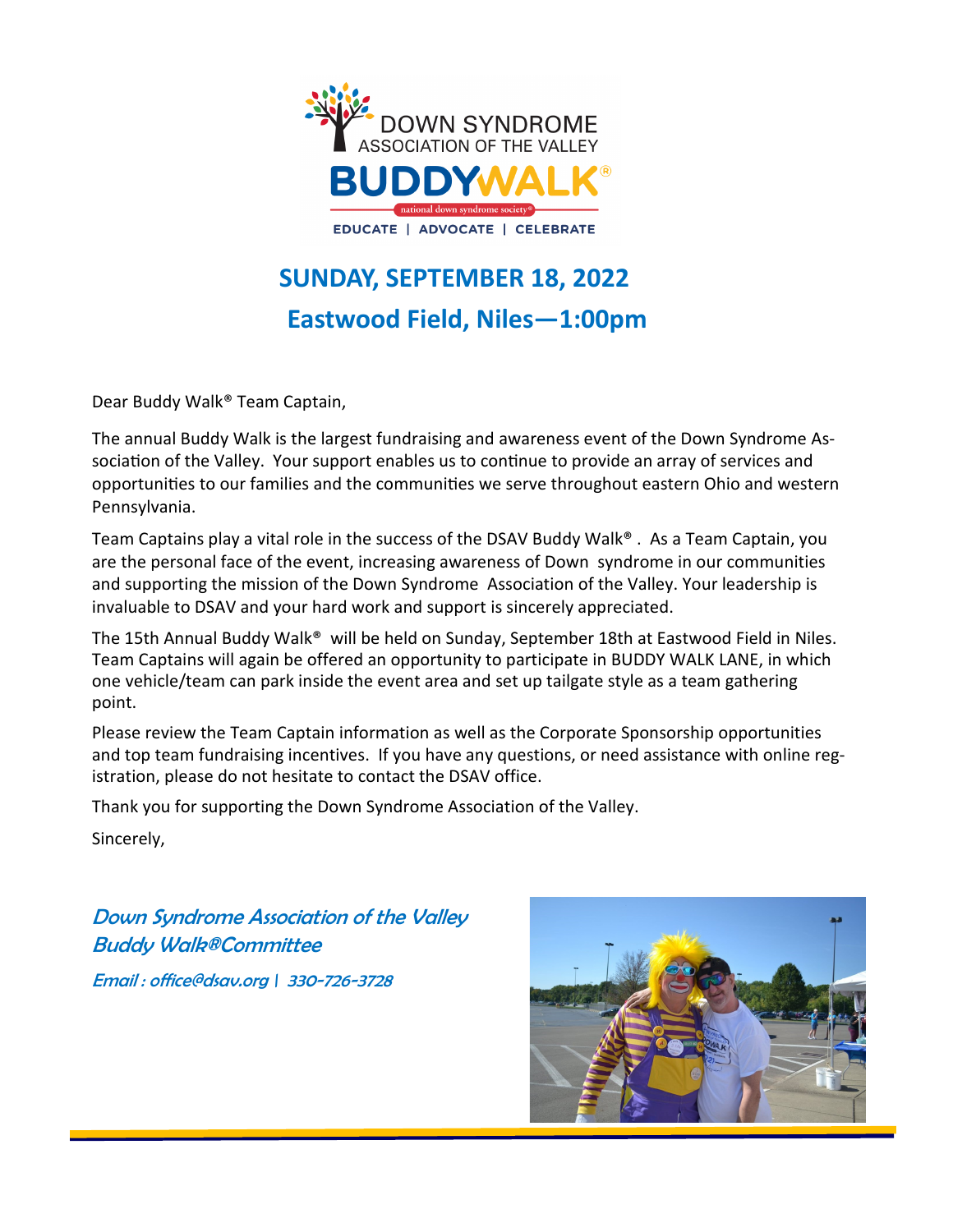

# **SUNDAY, SEPTEMBER 18, 2022 Eastwood Field, Niles—1:00pm**

Dear Buddy Walk® Team Captain,

The annual Buddy Walk is the largest fundraising and awareness event of the Down Syndrome Association of the Valley. Your support enables us to continue to provide an array of services and opportunities to our families and the communities we serve throughout eastern Ohio and western Pennsylvania.

Team Captains play a vital role in the success of the DSAV Buddy Walk® . As a Team Captain, you are the personal face of the event, increasing awareness of Down syndrome in our communities and supporting the mission of the Down Syndrome Association of the Valley. Your leadership is invaluable to DSAV and your hard work and support is sincerely appreciated.

The 15th Annual Buddy Walk® will be held on Sunday, September 18th at Eastwood Field in Niles. Team Captains will again be offered an opportunity to participate in BUDDY WALK LANE, in which one vehicle/team can park inside the event area and set up tailgate style as a team gathering point.

Please review the Team Captain information as well as the Corporate Sponsorship opportunities and top team fundraising incentives. If you have any questions, or need assistance with online registration, please do not hesitate to contact the DSAV office.

Thank you for supporting the Down Syndrome Association of the Valley.

Sincerely,

Down Syndrome Association of the Valley Buddy Walk®Committee

Email : office@dsav.org \ 330-726-3728

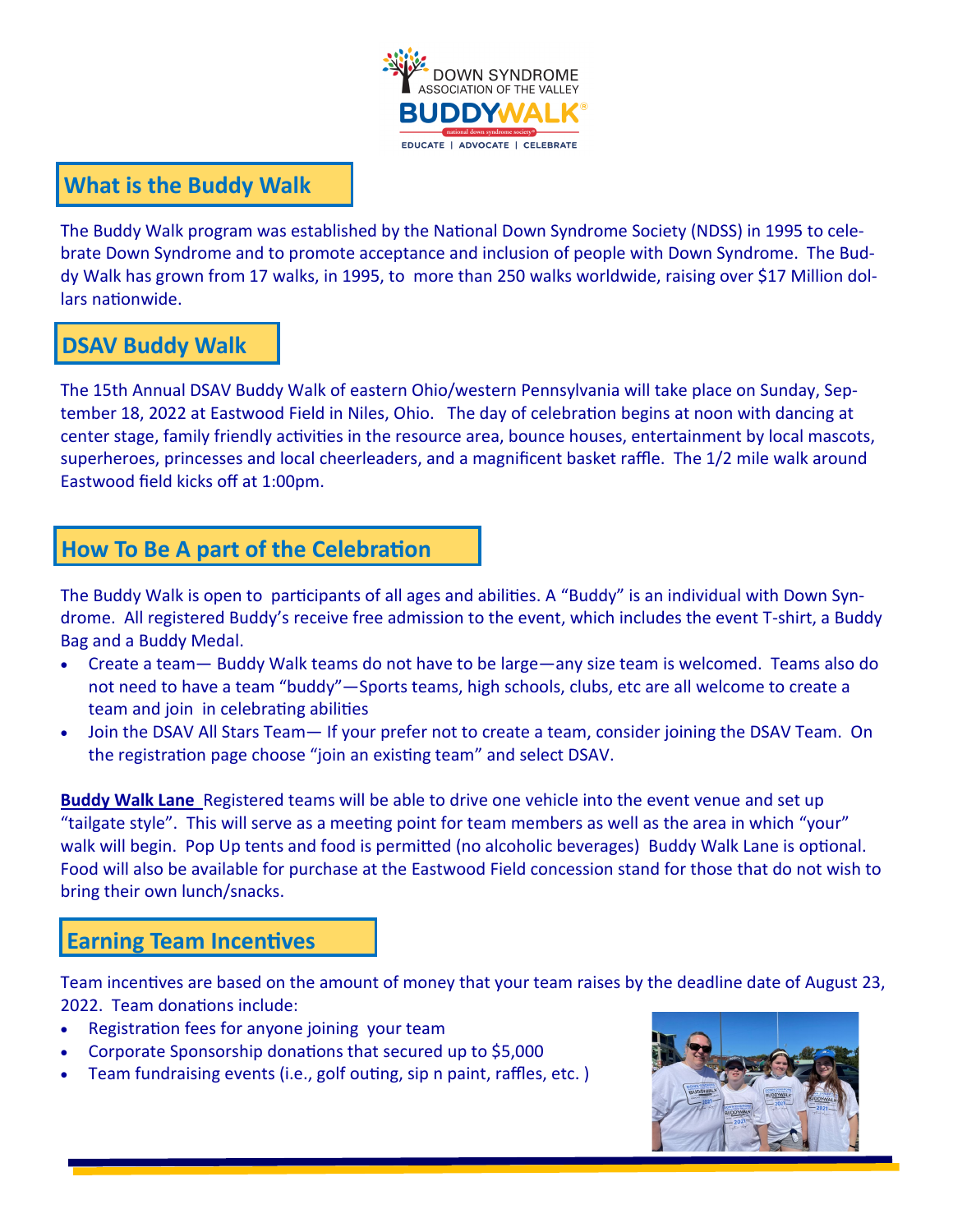

## **What is the Buddy Walk**

The Buddy Walk program was established by the National Down Syndrome Society (NDSS) in 1995 to celebrate Down Syndrome and to promote acceptance and inclusion of people with Down Syndrome. The Buddy Walk has grown from 17 walks, in 1995, to more than 250 walks worldwide, raising over \$17 Million dollars nationwide.

## **DSAV Buddy Walk**

The 15th Annual DSAV Buddy Walk of eastern Ohio/western Pennsylvania will take place on Sunday, September 18, 2022 at Eastwood Field in Niles, Ohio. The day of celebration begins at noon with dancing at center stage, family friendly activities in the resource area, bounce houses, entertainment by local mascots, superheroes, princesses and local cheerleaders, and a magnificent basket raffle. The 1/2 mile walk around Eastwood field kicks off at 1:00pm.

# **How To Be A part of the Celebration**

The Buddy Walk is open to participants of all ages and abilities. A "Buddy" is an individual with Down Syndrome. All registered Buddy's receive free admission to the event, which includes the event T-shirt, a Buddy Bag and a Buddy Medal.

- Create a team— Buddy Walk teams do not have to be large—any size team is welcomed. Teams also do not need to have a team "buddy"—Sports teams, high schools, clubs, etc are all welcome to create a team and join in celebrating abilities
- Join the DSAV All Stars Team— If your prefer not to create a team, consider joining the DSAV Team. On the registration page choose "join an existing team" and select DSAV.

**Buddy Walk Lane** Registered teams will be able to drive one vehicle into the event venue and set up "tailgate style". This will serve as a meeting point for team members as well as the area in which "your" walk will begin. Pop Up tents and food is permitted (no alcoholic beverages) Buddy Walk Lane is optional. Food will also be available for purchase at the Eastwood Field concession stand for those that do not wish to bring their own lunch/snacks.

## **Earning Team Incentives**

Team incentives are based on the amount of money that your team raises by the deadline date of August 23, 2022. Team donations include:

- Registration fees for anyone joining your team
- Corporate Sponsorship donations that secured up to \$5,000
- Team fundraising events (i.e., golf outing, sip n paint, raffles, etc. )

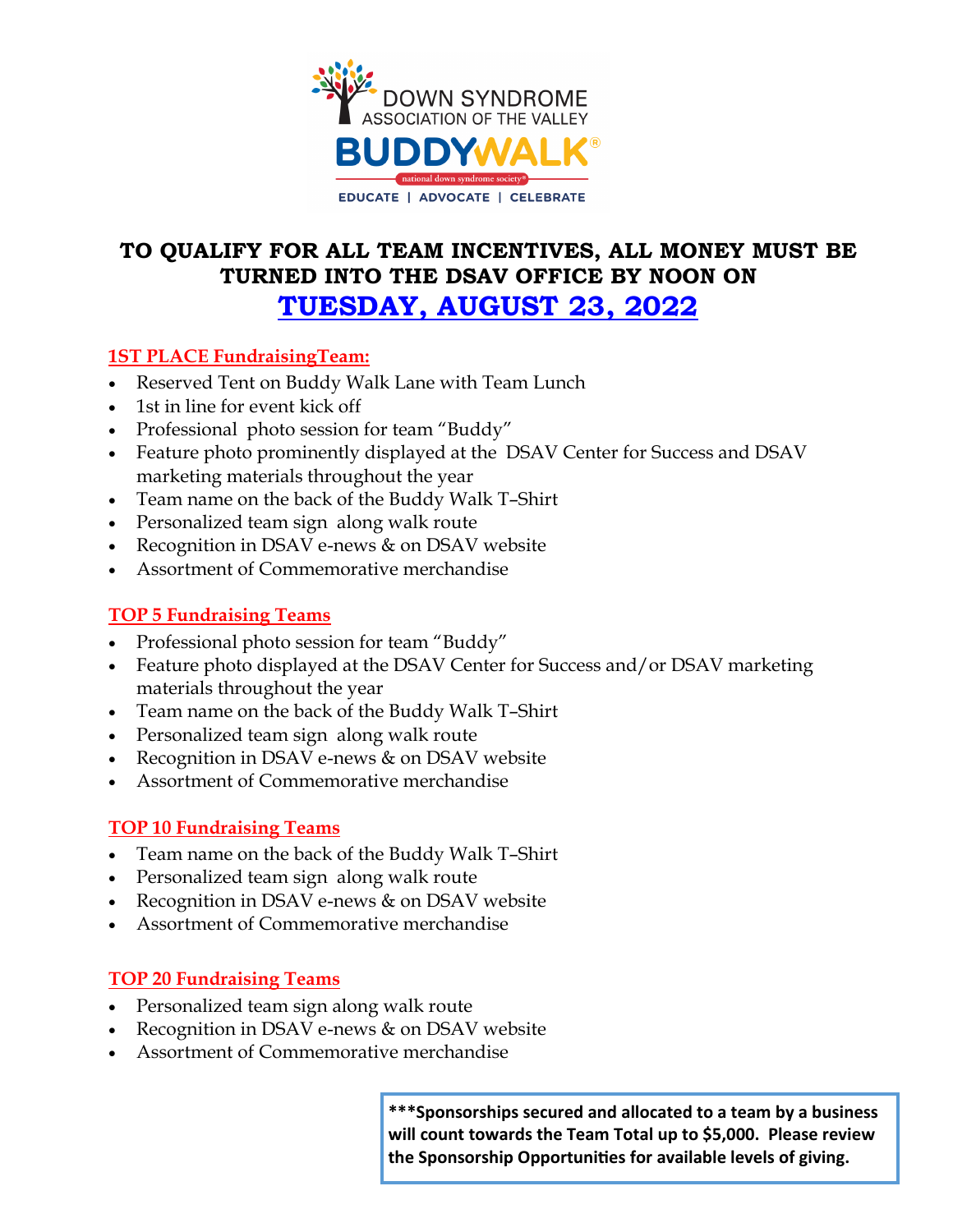

# **TO QUALIFY FOR ALL TEAM INCENTIVES, ALL MONEY MUST BE TURNED INTO THE DSAV OFFICE BY NOON ON TUESDAY, AUGUST 23, 2022**

#### **1ST PLACE FundraisingTeam:**

- Reserved Tent on Buddy Walk Lane with Team Lunch
- 1st in line for event kick off
- Professional photo session for team "Buddy"
- Feature photo prominently displayed at the DSAV Center for Success and DSAV marketing materials throughout the year
- Team name on the back of the Buddy Walk T–Shirt
- Personalized team sign along walk route
- Recognition in DSAV e-news & on DSAV website
- Assortment of Commemorative merchandise

#### **TOP 5 Fundraising Teams**

- Professional photo session for team "Buddy"
- Feature photo displayed at the DSAV Center for Success and/or DSAV marketing materials throughout the year
- Team name on the back of the Buddy Walk T–Shirt
- Personalized team sign along walk route
- Recognition in DSAV e-news & on DSAV website
- Assortment of Commemorative merchandise

#### **TOP 10 Fundraising Teams**

- Team name on the back of the Buddy Walk T–Shirt
- Personalized team sign along walk route
- Recognition in DSAV e-news & on DSAV website
- Assortment of Commemorative merchandise

#### **TOP 20 Fundraising Teams**

- Personalized team sign along walk route
- Recognition in DSAV e-news & on DSAV website
- Assortment of Commemorative merchandise

**\*\*\*Sponsorships secured and allocated to a team by a business will count towards the Team Total up to \$5,000. Please review the Sponsorship Opportunities for available levels of giving.**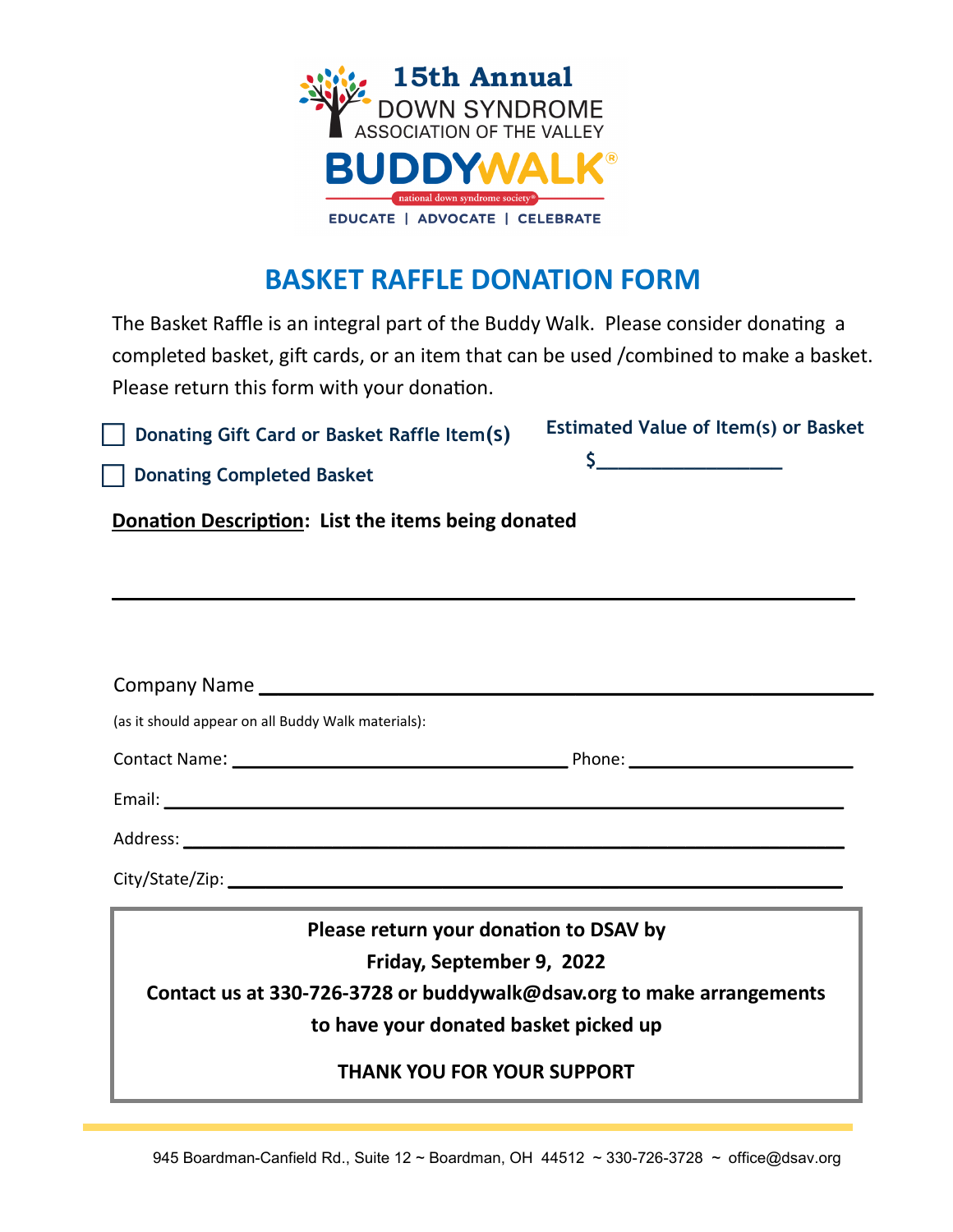

# **BASKET RAFFLE DONATION FORM**

The Basket Raffle is an integral part of the Buddy Walk. Please consider donating a completed basket, gift cards, or an item that can be used /combined to make a basket. Please return this form with your donation.

**Donating Gift Card or Basket Raffle Item(s)**

| <b>Estimated Value of Item(s) or Basket</b> |  |  |
|---------------------------------------------|--|--|
|                                             |  |  |

 **Donating Completed Basket**

**Donation Description: List the items being donated**

| Company Name                                                          |                                        |  |  |
|-----------------------------------------------------------------------|----------------------------------------|--|--|
| (as it should appear on all Buddy Walk materials):                    |                                        |  |  |
|                                                                       |                                        |  |  |
|                                                                       |                                        |  |  |
|                                                                       |                                        |  |  |
|                                                                       |                                        |  |  |
|                                                                       | Please return your donation to DSAV by |  |  |
| Friday, September 9, 2022                                             |                                        |  |  |
| Contact us at 330-726-3728 or buddywalk@dsav.org to make arrangements |                                        |  |  |
|                                                                       | to have your donated basket picked up  |  |  |
|                                                                       | <b>THANK YOU FOR YOUR SUPPORT</b>      |  |  |